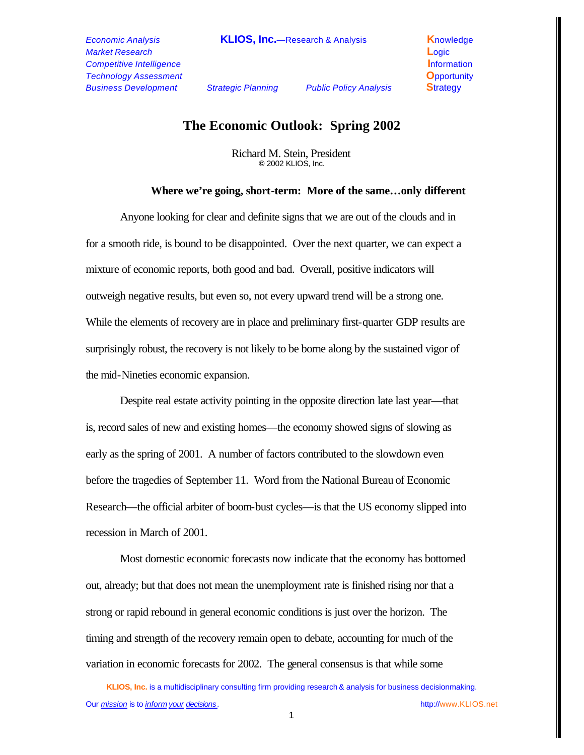*Market Research* **L**ogic *Competitive Intelligence* **Information Information** *Technology Assessment* **O**pportunity *Business Development Strategic Planning Public Policy Analysis* **S**trategy

# **The Economic Outlook: Spring 2002**

Richard M. Stein, President **©** 2002 KLIOS, Inc.

#### **Where we're going, short-term: More of the same…only different**

Anyone looking for clear and definite signs that we are out of the clouds and in for a smooth ride, is bound to be disappointed. Over the next quarter, we can expect a mixture of economic reports, both good and bad. Overall, positive indicators will outweigh negative results, but even so, not every upward trend will be a strong one. While the elements of recovery are in place and preliminary first-quarter GDP results are surprisingly robust, the recovery is not likely to be borne along by the sustained vigor of the mid-Nineties economic expansion.

Despite real estate activity pointing in the opposite direction late last year—that is, record sales of new and existing homes—the economy showed signs of slowing as early as the spring of 2001. A number of factors contributed to the slowdown even before the tragedies of September 11. Word from the National Bureau of Economic Research—the official arbiter of boom-bust cycles—is that the US economy slipped into recession in March of 2001.

Most domestic economic forecasts now indicate that the economy has bottomed out, already; but that does not mean the unemployment rate is finished rising nor that a strong or rapid rebound in general economic conditions is just over the horizon. The timing and strength of the recovery remain open to debate, accounting for much of the variation in economic forecasts for 2002. The general consensus is that while some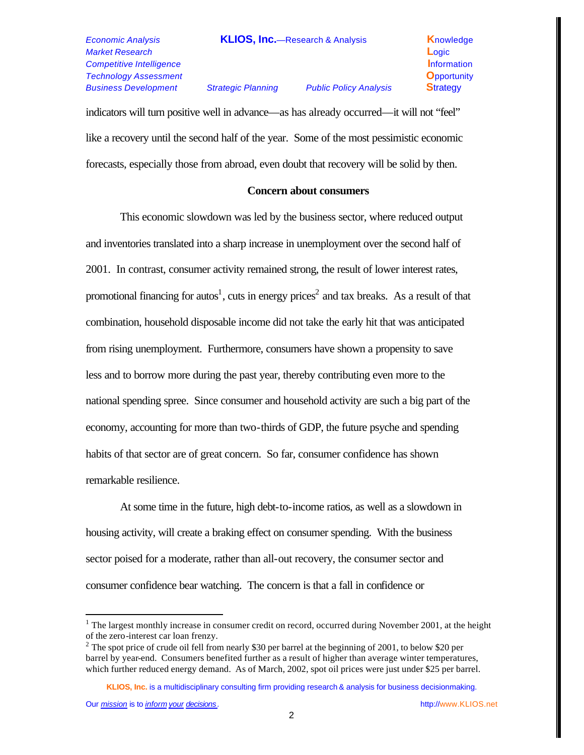*Market Research* **L**ogic *Competitive Intelligence* **Information Information** *Technology Assessment* **O**pportunity *Business Development Strategic Planning Public Policy Analysis* **S**trategy

*Economic Analysis* **KLIOS, Inc.**—Research & Analysis **K**nowledge

indicators will turn positive well in advance—as has already occurred—it will not "feel" like a recovery until the second half of the year. Some of the most pessimistic economic forecasts, especially those from abroad, even doubt that recovery will be solid by then.

### **Concern about consumers**

This economic slowdown was led by the business sector, where reduced output and inventories translated into a sharp increase in unemployment over the second half of 2001. In contrast, consumer activity remained strong, the result of lower interest rates, promotional financing for autos<sup>1</sup>, cuts in energy prices<sup>2</sup> and tax breaks. As a result of that combination, household disposable income did not take the early hit that was anticipated from rising unemployment. Furthermore, consumers have shown a propensity to save less and to borrow more during the past year, thereby contributing even more to the national spending spree. Since consumer and household activity are such a big part of the economy, accounting for more than two-thirds of GDP, the future psyche and spending habits of that sector are of great concern. So far, consumer confidence has shown remarkable resilience.

At some time in the future, high debt-to-income ratios, as well as a slowdown in housing activity, will create a braking effect on consumer spending. With the business sector poised for a moderate, rather than all-out recovery, the consumer sector and consumer confidence bear watching. The concern is that a fall in confidence or

**KLIOS, Inc.** is a multidisciplinary consulting firm providing research & analysis for business decisionmaking.

 $\overline{a}$ 

<sup>&</sup>lt;sup>1</sup> The largest monthly increase in consumer credit on record, occurred during November 2001, at the height of the zero-interest car loan frenzy.

<sup>&</sup>lt;sup>2</sup> The spot price of crude oil fell from nearly \$30 per barrel at the beginning of 2001, to below \$20 per barrel by year-end. Consumers benefited further as a result of higher than average winter temperatures, which further reduced energy demand. As of March, 2002, spot oil prices were just under \$25 per barrel.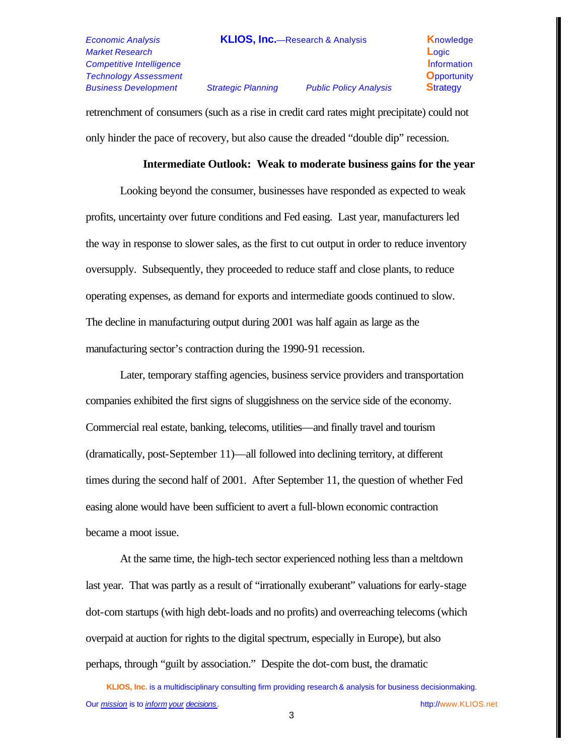*Market Research* **L**ogic *Competitive Intelligence* **Information Information** *Technology Assessment* **O**pportunity *Business Development Strategic Planning Public Policy Analysis* **S**trategy

retrenchment of consumers (such as a rise in credit card rates might precipitate) could not only hinder the pace of recovery, but also cause the dreaded "double dip" recession.

### **Intermediate Outlook: Weak to moderate business gains for the year**

Looking beyond the consumer, businesses have responded as expected to weak profits, uncertainty over future conditions and Fed easing. Last year, manufacturers led the way in response to slower sales, as the first to cut output in order to reduce inventory oversupply. Subsequently, they proceeded to reduce staff and close plants, to reduce operating expenses, as demand for exports and intermediate goods continued to slow. The decline in manufacturing output during 2001 was half again as large as the manufacturing sector's contraction during the 1990-91 recession.

Later, temporary staffing agencies, business service providers and transportation companies exhibited the first signs of sluggishness on the service side of the economy. Commercial real estate, banking, telecoms, utilities—and finally travel and tourism (dramatically, post-September 11)—all followed into declining territory, at different times during the second half of 2001. After September 11, the question of whether Fed easing alone would have been sufficient to avert a full-blown economic contraction became a moot issue.

At the same time, the high-tech sector experienced nothing less than a meltdown last year. That was partly as a result of "irrationally exuberant" valuations for early-stage dot-com startups (with high debt-loads and no profits) and overreaching telecoms (which overpaid at auction for rights to the digital spectrum, especially in Europe), but also perhaps, through "guilt by association." Despite the dot-com bust, the dramatic

**KLIOS, Inc.** is a multidisciplinary consulting firm providing research & analysis for business decisionmaking. Our *mission* is to *inform your decisions .* http://www.KLIOS.net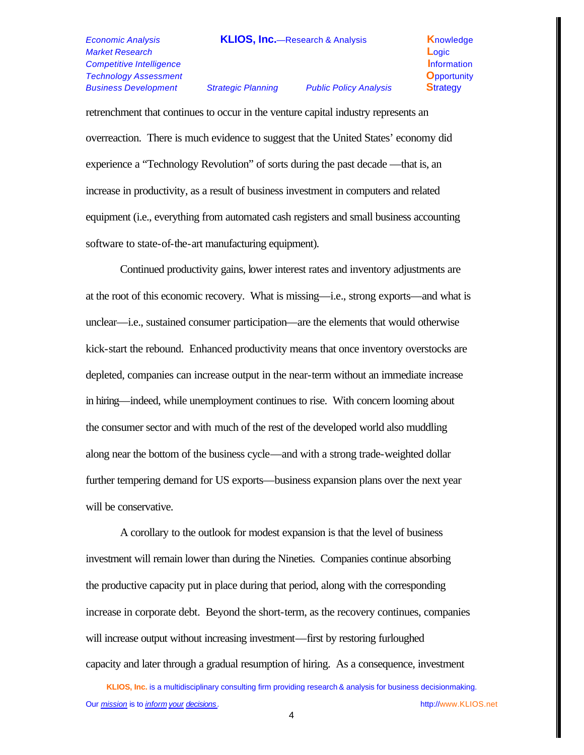# *Market Research* **L**ogic *Competitive Intelligence* **Information Information** *Technology Assessment* **O**pportunity *Business Development Strategic Planning Public Policy Analysis* **S**trategy

retrenchment that continues to occur in the venture capital industry represents an overreaction. There is much evidence to suggest that the United States' economy did experience a "Technology Revolution" of sorts during the past decade —that is, an increase in productivity, as a result of business investment in computers and related equipment (i.e., everything from automated cash registers and small business accounting software to state-of-the-art manufacturing equipment).

Continued productivity gains, lower interest rates and inventory adjustments are at the root of this economic recovery. What is missing—i.e., strong exports—and what is unclear—i.e., sustained consumer participation—are the elements that would otherwise kick-start the rebound. Enhanced productivity means that once inventory overstocks are depleted, companies can increase output in the near-term without an immediate increase in hiring—indeed, while unemployment continues to rise. With concern looming about the consumer sector and with much of the rest of the developed world also muddling along near the bottom of the business cycle—and with a strong trade-weighted dollar further tempering demand for US exports—business expansion plans over the next year will be conservative.

A corollary to the outlook for modest expansion is that the level of business investment will remain lower than during the Nineties. Companies continue absorbing the productive capacity put in place during that period, along with the corresponding increase in corporate debt. Beyond the short-term, as the recovery continues, companies will increase output without increasing investment—first by restoring furloughed capacity and later through a gradual resumption of hiring. As a consequence, investment

**KLIOS, Inc.** is a multidisciplinary consulting firm providing research & analysis for business decisionmaking. Our *mission* is to *inform your decisions .* http://www.KLIOS.net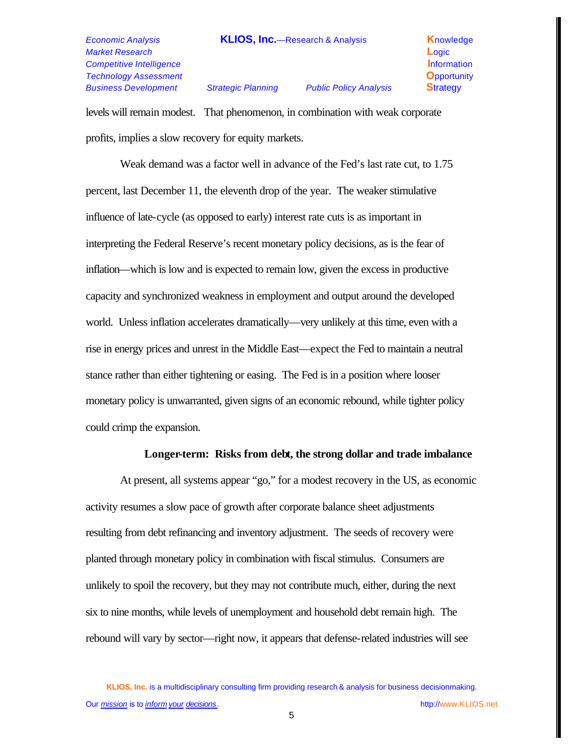*Market Research* **L**ogic *Competitive Intelligence* **Information Information** *Technology Assessment* **O**pportunity *Business Development Strategic Planning Public Policy Analysis* **S**trategy

*Economic Analysis* **KLIOS, Inc.**—Research & Analysis **K**nowledge

levels will remain modest. That phenomenon, in combination with weak corporate profits, implies a slow recovery for equity markets.

Weak demand was a factor well in advance of the Fed's last rate cut, to 1.75 percent, last December 11, the eleventh drop of the year. The weaker stimulative influence of late-cycle (as opposed to early) interest rate cuts is as important in interpreting the Federal Reserve's recent monetary policy decisions, as is the fear of inflation—which is low and is expected to remain low, given the excess in productive capacity and synchronized weakness in employment and output around the developed world. Unless inflation accelerates dramatically—very unlikely at this time, even with a rise in energy prices and unrest in the Middle East—expect the Fed to maintain a neutral stance rather than either tightening or easing. The Fed is in a position where looser monetary policy is unwarranted, given signs of an economic rebound, while tighter policy could crimp the expansion.

#### **Longer-term: Risks from debt, the strong dollar and trade imbalance**

At present, all systems appear "go," for a modest recovery in the US, as economic activity resumes a slow pace of growth after corporate balance sheet adjustments resulting from debt refinancing and inventory adjustment. The seeds of recovery were planted through monetary policy in combination with fiscal stimulus. Consumers are unlikely to spoil the recovery, but they may not contribute much, either, during the next six to nine months, while levels of unemployment and household debt remain high. The rebound will vary by sector—right now, it appears that defense-related industries will see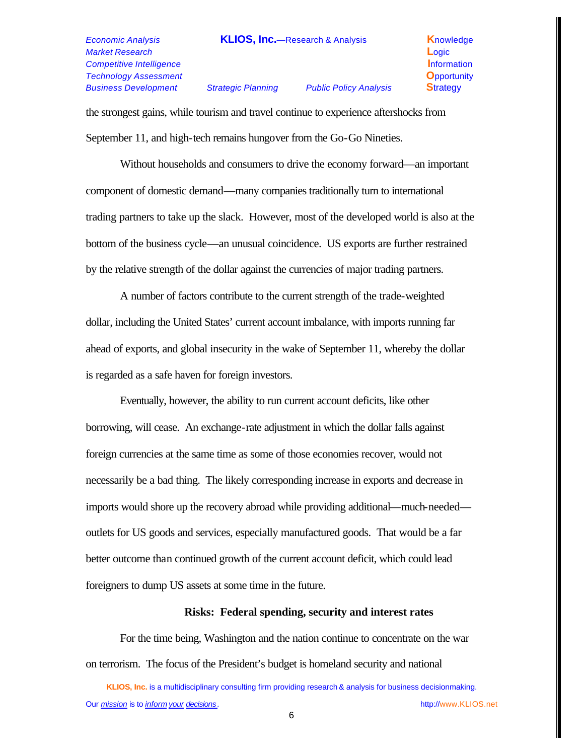# *Market Research* **L**ogic *Competitive Intelligence* **Information Information** *Technology Assessment* **O**pportunity *Business Development Strategic Planning Public Policy Analysis* **S**trategy

the strongest gains, while tourism and travel continue to experience aftershocks from September 11, and high-tech remains hungover from the Go-Go Nineties.

Without households and consumers to drive the economy forward—an important component of domestic demand—many companies traditionally turn to international trading partners to take up the slack. However, most of the developed world is also at the bottom of the business cycle—an unusual coincidence. US exports are further restrained by the relative strength of the dollar against the currencies of major trading partners.

A number of factors contribute to the current strength of the trade-weighted dollar, including the United States' current account imbalance, with imports running far ahead of exports, and global insecurity in the wake of September 11, whereby the dollar is regarded as a safe haven for foreign investors.

Eventually, however, the ability to run current account deficits, like other borrowing, will cease. An exchange-rate adjustment in which the dollar falls against foreign currencies at the same time as some of those economies recover, would not necessarily be a bad thing. The likely corresponding increase in exports and decrease in imports would shore up the recovery abroad while providing additional—much-needed outlets for US goods and services, especially manufactured goods. That would be a far better outcome than continued growth of the current account deficit, which could lead foreigners to dump US assets at some time in the future.

### **Risks: Federal spending, security and interest rates**

For the time being, Washington and the nation continue to concentrate on the war on terrorism. The focus of the President's budget is homeland security and national